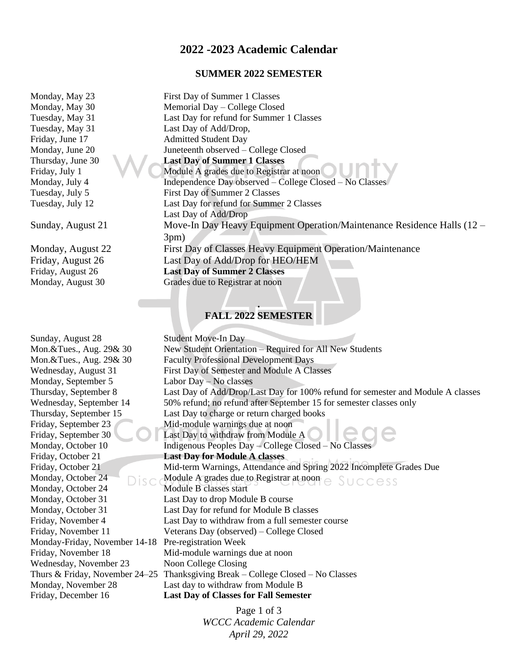# **2022 -2023 Academic Calendar**

#### **SUMMER 2022 SEMESTER**

Monday, September 5 Labor Day – No classes Monday, October 24 Module B classes start Monday-Friday, November 14-18 Pre-registration Week Wednesday, November 23 Noon College Closing

Monday, May 23 First Day of Summer 1 Classes Monday, May 30 Memorial Day – College Closed Tuesday, May 31 Last Day for refund for Summer 1 Classes Tuesday, May 31 Last Day of Add/Drop, Friday, June 17 Admitted Student Day Monday, June 20 Juneteenth observed – College Closed Thursday, June 30 **Last Day of Summer 1 Classes** Friday, July 1 Module A grades due to Registrar at noon Monday, July 4 Independence Day observed – College Closed – No Classes Tuesday, July 5 First Day of Summer 2 Classes Tuesday, July 12 Last Day for refund for Summer 2 Classes Last Day of Add/Drop Sunday, August 21 Move-In Day Heavy Equipment Operation/Maintenance Residence Halls (12 – 3pm) Monday, August 22 First Day of Classes Heavy Equipment Operation/Maintenance Friday, August 26 Last Day of Add/Drop for HEO/HEM Friday, August 26 **Last Day of Summer 2 Classes** Monday, August 30 Grades due to Registrar at noon

## **. FALL 2022 SEMESTER**

Sunday, August 28 Student Move-In Day Mon. & Tues., Aug. 29& 30 New Student Orientation – Required for All New Students Mon.&Tues., Aug. 29& 30 Faculty Professional Development Days Wednesday, August 31 First Day of Semester and Module A Classes Thursday, September 8 Last Day of Add/Drop/Last Day for 100% refund for semester and Module A classes Wednesday, September 14 50% refund; no refund after September 15 for semester classes only Thursday, September 15 Last Day to charge or return charged books Friday, September 23 Mid-module warnings due at noon Friday, September 30 Last Day to withdraw from Module A Monday, October 10 Indigenous Peoples Day – College Closed – No Classes Friday, October 21 **Last Day for Module A classes** Friday, October 21 Mid-term Warnings, Attendance and Spring 2022 Incomplete Grades Due Monday, October 24 Module A grades due to Registrar at noon Monday, October 31 Last Day to drop Module B course Monday, October 31 Last Day for refund for Module B classes Friday, November 4 Last Day to withdraw from a full semester course Friday, November 11 Veterans Day (observed) – College Closed Friday, November 18 Mid-module warnings due at noon Thurs & Friday, November 24–25 Thanksgiving Break – College Closed – No Classes Monday, November 28 Last day to withdraw from Module B Friday, December 16 **Last Day of Classes for Fall Semester**

> Page 1 of 3 *WCCC Academic Calendar April 29, 2022*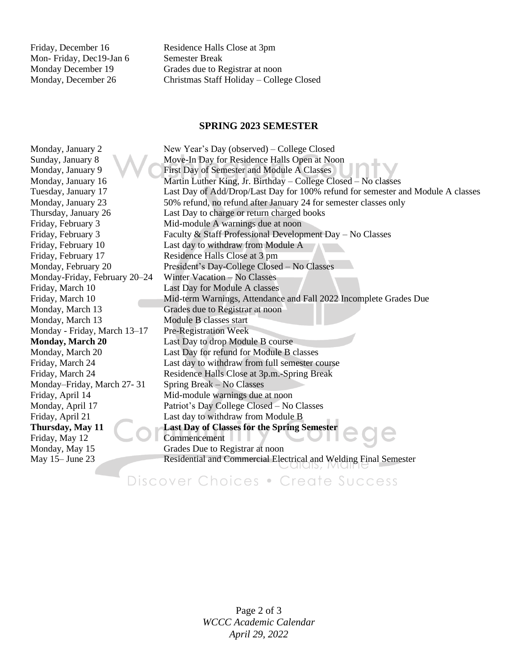Mon- Friday, Dec19-Jan 6 Semester Break

Friday, December 16 Residence Halls Close at 3pm Monday December 19 Grades due to Registrar at noon Monday, December 26 Christmas Staff Holiday – College Closed

### **SPRING 2023 SEMESTER**

Monday, January 2 New Year's Day (observed) – College Closed Sunday, January 8 Move-In Day for Residence Halls Open at Noon Monday, January 9 **First Day of Semester and Module A Classes** Monday, January 16 Martin Luther King, Jr. Birthday – College Closed – No classes Tuesday, January 17 Last Day of Add/Drop/Last Day for 100% refund for semester and Module A classes Monday, January 23 50% refund, no refund after January 24 for semester classes only Thursday, January 26 Last Day to charge or return charged books Friday, February 3 Mid-module A warnings due at noon Friday, February 3 Faculty & Staff Professional Development Day – No Classes Friday, February 10 Last day to withdraw from Module A Friday, February 17 Residence Halls Close at 3 pm Monday, February 20 President's Day-College Closed – No Classes Monday-Friday, February 20–24 Winter Vacation – No Classes Friday, March 10 Last Day for Module A classes Friday, March 10 Mid-term Warnings, Attendance and Fall 2022 Incomplete Grades Due Monday, March 13 Grades due to Registrar at noon Monday, March 13 Module B classes start Monday - Friday, March 13–17 Pre-Registration Week **Monday, March 20** Last Day to drop Module B course Monday, March 20 Last Day for refund for Module B classes Friday, March 24 Last day to withdraw from full semester course Friday, March 24 Residence Halls Close at 3p.m.-Spring Break Monday–Friday, March 27-31 Spring Break – No Classes Friday, April 14 Mid-module warnings due at noon Monday, April 17 Patriot's Day College Closed – No Classes Friday, April 21 Last day to withdraw from Module B **Thursday, May 11 Last Day of Classes for the Spring Semester** Friday, May 12 Commencement Monday, May 15 Grades Due to Registrar at noon May 15– June 23 Residential and Commercial Electrical and Welding Final Semester

Discover Choices . Create Success